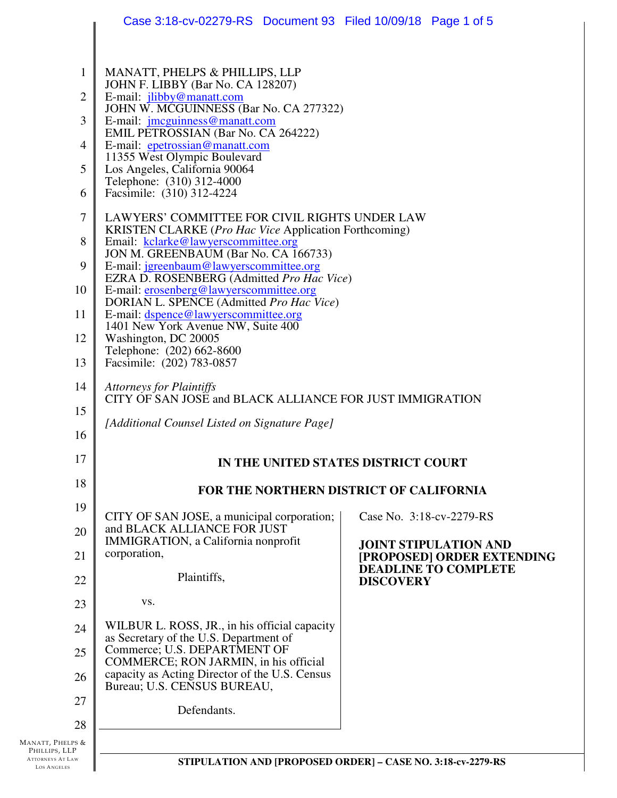|                                                                                          | Case 3:18-cv-02279-RS  Document 93  Filed 10/09/18  Page 1 of 5                                                                                                                                                                                                                                                                                                                                                                                                                                                                                                                                                                                                                          |                                                             |  |  |  |
|------------------------------------------------------------------------------------------|------------------------------------------------------------------------------------------------------------------------------------------------------------------------------------------------------------------------------------------------------------------------------------------------------------------------------------------------------------------------------------------------------------------------------------------------------------------------------------------------------------------------------------------------------------------------------------------------------------------------------------------------------------------------------------------|-------------------------------------------------------------|--|--|--|
| $\mathbf{1}$<br>$\overline{2}$<br>3<br>4<br>5<br>6<br>7<br>8<br>9                        | MANATT, PHELPS & PHILLIPS, LLP<br>JOHN F. LIBBY (Bar No. CA 128207)<br>E-mail: jlibby@manatt.com<br>JOHN W. MCGUINNESS (Bar No. CA 277322)<br>E-mail: <i>jmcguinness@manatt.com</i><br>EMIL PETROSSIAN (Bar No. CA 264222)<br>E-mail: epetrossian@manatt.com<br>11355 West Olympic Boulevard<br>Los Angeles, California 90064<br>Telephone: (310) 312-4000<br>Facsimile: (310) 312-4224<br>LAWYERS' COMMITTEE FOR CIVIL RIGHTS UNDER LAW<br><b>KRISTEN CLARKE</b> ( <i>Pro Hac Vice Application Forthcoming</i> )<br>Email: kclarke@lawyerscommittee.org<br>JON M. GREENBAUM (Bar No. CA 166733)<br>E-mail: jgreenbaum@lawyerscommittee.org<br>EZRA D. ROSENBERG (Admitted Pro Hac Vice) |                                                             |  |  |  |
| 10<br>11<br>12<br>13                                                                     | E-mail: erosenberg@lawyerscommittee.org<br>DORIAN L. SPENCE (Admitted Pro Hac Vice)<br>E-mail: dspence@lawyerscommittee.org<br>1401 New York Avenue NW, Suite 400<br>Washington, DC 20005<br>Telephone: (202) 662-8600<br>Facsimile: (202) 783-0857                                                                                                                                                                                                                                                                                                                                                                                                                                      |                                                             |  |  |  |
| 14<br>15<br>16                                                                           | <b>Attorneys for Plaintiffs</b><br>CITY OF SAN JOSE and BLACK ALLIANCE FOR JUST IMMIGRATION<br>[Additional Counsel Listed on Signature Page]                                                                                                                                                                                                                                                                                                                                                                                                                                                                                                                                             |                                                             |  |  |  |
| 17                                                                                       | IN THE UNITED STATES DISTRICT COURT                                                                                                                                                                                                                                                                                                                                                                                                                                                                                                                                                                                                                                                      |                                                             |  |  |  |
| 18                                                                                       |                                                                                                                                                                                                                                                                                                                                                                                                                                                                                                                                                                                                                                                                                          | FOR THE NORTHERN DISTRICT OF CALIFORNIA                     |  |  |  |
| 19                                                                                       | CITY OF SAN JOSE, a municipal corporation;                                                                                                                                                                                                                                                                                                                                                                                                                                                                                                                                                                                                                                               | Case No. 3:18-cv-2279-RS                                    |  |  |  |
| 20<br>21                                                                                 | and BLACK ALLIANCE FOR JUST<br>IMMIGRATION, a California nonprofit<br>corporation,                                                                                                                                                                                                                                                                                                                                                                                                                                                                                                                                                                                                       | <b>JOINT STIPULATION AND</b><br>[PROPOSED] ORDER EXTENDING  |  |  |  |
| 22                                                                                       | Plaintiffs,                                                                                                                                                                                                                                                                                                                                                                                                                                                                                                                                                                                                                                                                              | <b>DEADLINE TO COMPLETE</b><br><b>DISCOVERY</b>             |  |  |  |
| 23                                                                                       | VS.                                                                                                                                                                                                                                                                                                                                                                                                                                                                                                                                                                                                                                                                                      |                                                             |  |  |  |
| 24                                                                                       | WILBUR L. ROSS, JR., in his official capacity<br>as Secretary of the U.S. Department of                                                                                                                                                                                                                                                                                                                                                                                                                                                                                                                                                                                                  |                                                             |  |  |  |
| 25                                                                                       | Commerce; U.S. DEPARTMENT OF<br>COMMERCE; RON JARMIN, in his official                                                                                                                                                                                                                                                                                                                                                                                                                                                                                                                                                                                                                    |                                                             |  |  |  |
| 26                                                                                       | capacity as Acting Director of the U.S. Census<br>Bureau; U.S. CENSUS BUREAU,                                                                                                                                                                                                                                                                                                                                                                                                                                                                                                                                                                                                            |                                                             |  |  |  |
| 27                                                                                       | Defendants.                                                                                                                                                                                                                                                                                                                                                                                                                                                                                                                                                                                                                                                                              |                                                             |  |  |  |
| 28<br>MANATT, PHELPS &<br>PHILLIPS, LLP<br><b>ATTORNEYS AT LAW</b><br><b>LOS ANGELES</b> |                                                                                                                                                                                                                                                                                                                                                                                                                                                                                                                                                                                                                                                                                          | STIPULATION AND [PROPOSED ORDER] - CASE NO. 3:18-cv-2279-RS |  |  |  |
|                                                                                          |                                                                                                                                                                                                                                                                                                                                                                                                                                                                                                                                                                                                                                                                                          |                                                             |  |  |  |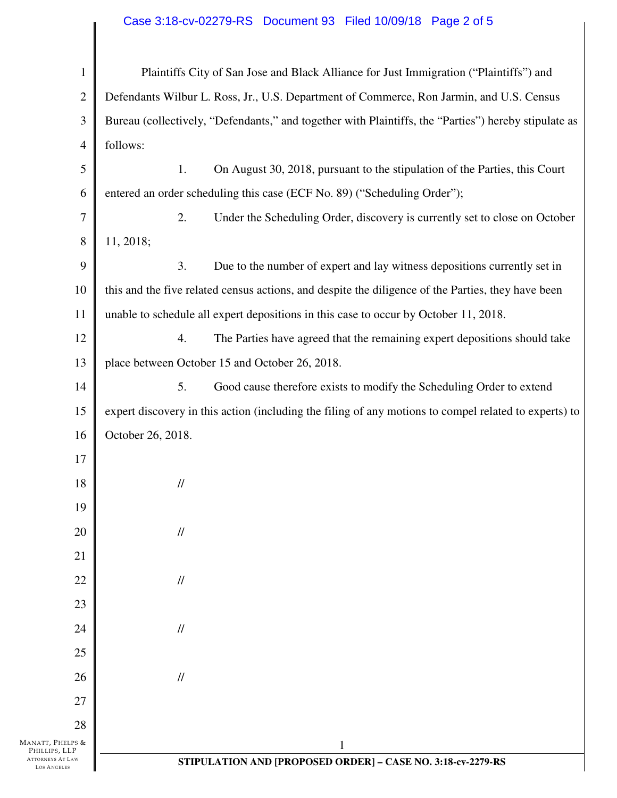## Case 3:18-cv-02279-RS Document 93 Filed 10/09/18 Page 2 of 5

| $\mathbf{1}$                                                                | Plaintiffs City of San Jose and Black Alliance for Just Immigration ("Plaintiffs") and                |  |
|-----------------------------------------------------------------------------|-------------------------------------------------------------------------------------------------------|--|
| $\mathbf{2}$                                                                | Defendants Wilbur L. Ross, Jr., U.S. Department of Commerce, Ron Jarmin, and U.S. Census              |  |
| 3                                                                           | Bureau (collectively, "Defendants," and together with Plaintiffs, the "Parties") hereby stipulate as  |  |
| 4                                                                           | follows:                                                                                              |  |
| 5                                                                           | 1.<br>On August 30, 2018, pursuant to the stipulation of the Parties, this Court                      |  |
| 6                                                                           | entered an order scheduling this case (ECF No. 89) ("Scheduling Order");                              |  |
| $\tau$                                                                      | 2.<br>Under the Scheduling Order, discovery is currently set to close on October                      |  |
| 8                                                                           | 11, 2018;                                                                                             |  |
| 9                                                                           | 3.<br>Due to the number of expert and lay witness depositions currently set in                        |  |
| 10                                                                          | this and the five related census actions, and despite the diligence of the Parties, they have been    |  |
| 11                                                                          | unable to schedule all expert depositions in this case to occur by October 11, 2018.                  |  |
| 12                                                                          | 4.<br>The Parties have agreed that the remaining expert depositions should take                       |  |
| 13                                                                          | place between October 15 and October 26, 2018.                                                        |  |
| 14                                                                          | 5.<br>Good cause therefore exists to modify the Scheduling Order to extend                            |  |
| 15                                                                          | expert discovery in this action (including the filing of any motions to compel related to experts) to |  |
| 16                                                                          | October 26, 2018.                                                                                     |  |
| 17                                                                          |                                                                                                       |  |
| 18                                                                          | $\frac{1}{2}$                                                                                         |  |
| 19                                                                          |                                                                                                       |  |
| 20                                                                          | $\frac{1}{2}$                                                                                         |  |
| 21                                                                          |                                                                                                       |  |
| 22                                                                          | $\frac{1}{2}$                                                                                         |  |
| 23                                                                          |                                                                                                       |  |
| 24                                                                          | $\frac{1}{2}$                                                                                         |  |
| 25                                                                          |                                                                                                       |  |
| 26                                                                          | $\frac{1}{2}$                                                                                         |  |
| 27                                                                          |                                                                                                       |  |
| 28                                                                          |                                                                                                       |  |
| MANATT, PHELPS &<br>PHILLIPS, LLP<br>ATTORNEYS AT LAW<br><b>LOS ANGELES</b> | $\mathbf{1}$<br>STIPULATION AND [PROPOSED ORDER] - CASE NO. 3:18-cv-2279-RS                           |  |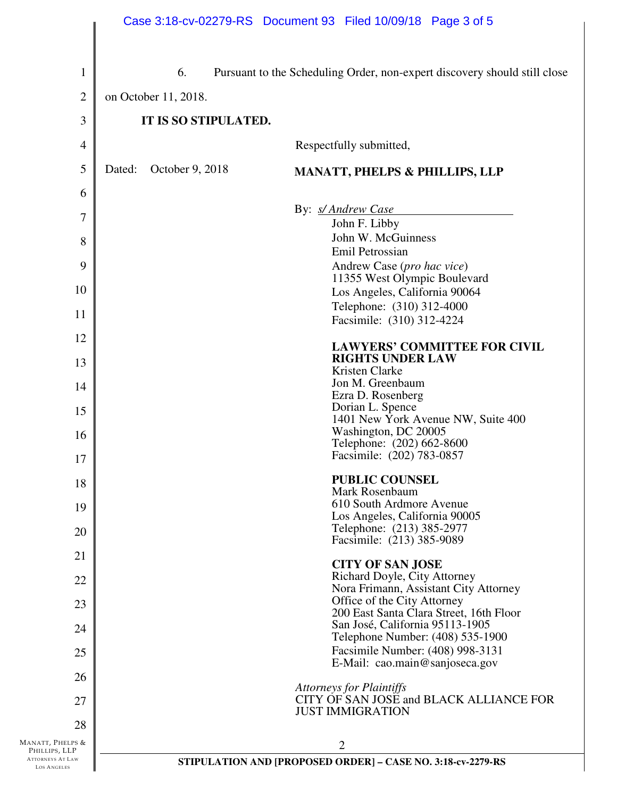|                                               |        |                      | Case 3:18-cv-02279-RS Document 93 Filed 10/09/18 Page 3 of 5               |
|-----------------------------------------------|--------|----------------------|----------------------------------------------------------------------------|
| $\mathbf{1}$                                  |        | 6.                   | Pursuant to the Scheduling Order, non-expert discovery should still close  |
| $\overline{2}$                                |        | on October 11, 2018. |                                                                            |
| 3                                             |        | IT IS SO STIPULATED. |                                                                            |
| $\overline{4}$                                |        |                      | Respectfully submitted,                                                    |
| 5                                             | Dated: | October 9, 2018      | <b>MANATT, PHELPS &amp; PHILLIPS, LLP</b>                                  |
| 6                                             |        |                      |                                                                            |
| $\overline{7}$                                |        |                      | By: <i>s/ Andrew Case</i>                                                  |
|                                               |        |                      | John F. Libby<br>John W. McGuinness                                        |
| 8                                             |        |                      | Emil Petrossian                                                            |
| 9                                             |        |                      | Andrew Case (pro hac vice)                                                 |
| 10                                            |        |                      | 11355 West Olympic Boulevard<br>Los Angeles, California 90064              |
|                                               |        |                      | Telephone: (310) 312-4000                                                  |
| 11                                            |        |                      | Facsimile: (310) 312-4224                                                  |
| 12<br>13                                      |        |                      | <b>LAWYERS' COMMITTEE FOR CIVIL</b><br><b>RIGHTS UNDER LAW</b>             |
|                                               |        |                      | Kristen Clarke                                                             |
| 14                                            |        |                      | Jon M. Greenbaum<br>Ezra D. Rosenberg                                      |
| 15                                            |        |                      | Dorian L. Spence<br>1401 New York Avenue NW, Suite 400                     |
| 16                                            |        |                      | Washington, DC 20005                                                       |
| 17                                            |        |                      | Telephone: (202) 662-8600<br>Facsimile: (202) 783-0857                     |
| 18                                            |        |                      | <b>PUBLIC COUNSEL</b>                                                      |
|                                               |        |                      | Mark Rosenbaum<br>610 South Ardmore Avenue                                 |
| 19                                            |        |                      | Los Angeles, California 90005                                              |
| 20                                            |        |                      | Telephone: (213) 385-2977<br>Facsimile: (213) 385-9089                     |
| 21                                            |        |                      | <b>CITY OF SAN JOSE</b>                                                    |
| 22                                            |        |                      | Richard Doyle, City Attorney                                               |
| 23                                            |        |                      | Nora Frimann, Assistant City Attorney<br>Office of the City Attorney       |
| 24                                            |        |                      | 200 East Santa Clara Street, 16th Floor<br>San José, California 95113-1905 |
|                                               |        |                      | Telephone Number: (408) 535-1900<br>Facsimile Number: (408) 998-3131       |
| 25                                            |        |                      | E-Mail: cao.main@sanjoseca.gov                                             |
| 26                                            |        |                      | <b>Attorneys for Plaintiffs</b>                                            |
| 27                                            |        |                      | CITY OF SAN JOSE and BLACK ALLIANCE FOR<br><b>JUST IMMIGRATION</b>         |
| 28                                            |        |                      |                                                                            |
| MANATT, PHELPS &<br>PHILLIPS, LLP             |        |                      | 2                                                                          |
| <b>ATTORNEYS AT LAW</b><br><b>LOS ANGELES</b> |        |                      | STIPULATION AND [PROPOSED ORDER] - CASE NO. 3:18-cv-2279-RS                |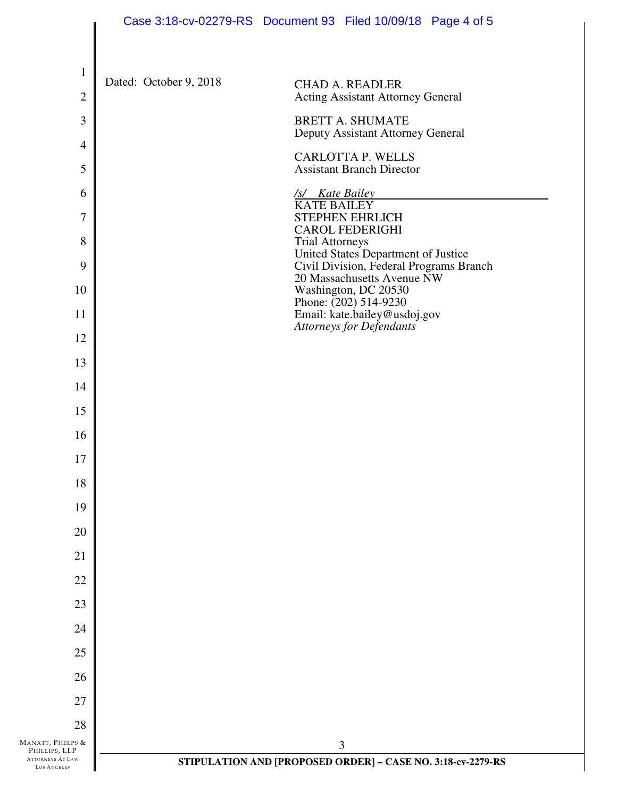|                                        | Case 3:18-cv-02279-RS Document 93 Filed 10/09/18 Page 4 of 5                                             |
|----------------------------------------|----------------------------------------------------------------------------------------------------------|
| $\mathbf{1}$                           |                                                                                                          |
| $\overline{2}$                         | Dated: October 9, 2018<br><b>CHAD A. READLER</b><br><b>Acting Assistant Attorney General</b>             |
| 3                                      | <b>BRETT A. SHUMATE</b>                                                                                  |
| $\overline{4}$                         | Deputy Assistant Attorney General<br><b>CARLOTTA P. WELLS</b>                                            |
| 5                                      | <b>Assistant Branch Director</b>                                                                         |
| 6                                      | /s/ Kate Bailey<br><b>KATE BAILEY</b>                                                                    |
| 7                                      | <b>STEPHEN EHRLICH</b><br><b>CAROL FEDERIGHI</b>                                                         |
| 8<br>9                                 | <b>Trial Attorneys</b><br>United States Department of Justice<br>Civil Division, Federal Programs Branch |
| 10                                     | 20 Massachusetts Avenue NW<br>Washington, DC 20530                                                       |
| 11                                     | Phone: $(202)$ 514-9230<br>Email: kate.bailey@usdoj.gov                                                  |
| 12                                     | Attorneys for Defendants                                                                                 |
| 13                                     |                                                                                                          |
| 14                                     |                                                                                                          |
| 15                                     |                                                                                                          |
| 16                                     |                                                                                                          |
| 17                                     |                                                                                                          |
| 18                                     |                                                                                                          |
| 19                                     |                                                                                                          |
| 20                                     |                                                                                                          |
| 21                                     |                                                                                                          |
| 22                                     |                                                                                                          |
| 23<br>24                               |                                                                                                          |
| 25                                     |                                                                                                          |
| 26                                     |                                                                                                          |
| 27                                     |                                                                                                          |
| 28                                     |                                                                                                          |
| MANATT, PHELPS &<br>PHILLIPS, LLP      | 3                                                                                                        |
| ATTORNEYS AT LAW<br><b>LOS ANGELES</b> | STIPULATION AND [PROPOSED ORDER] - CASE NO. 3:18-cv-2279-RS                                              |